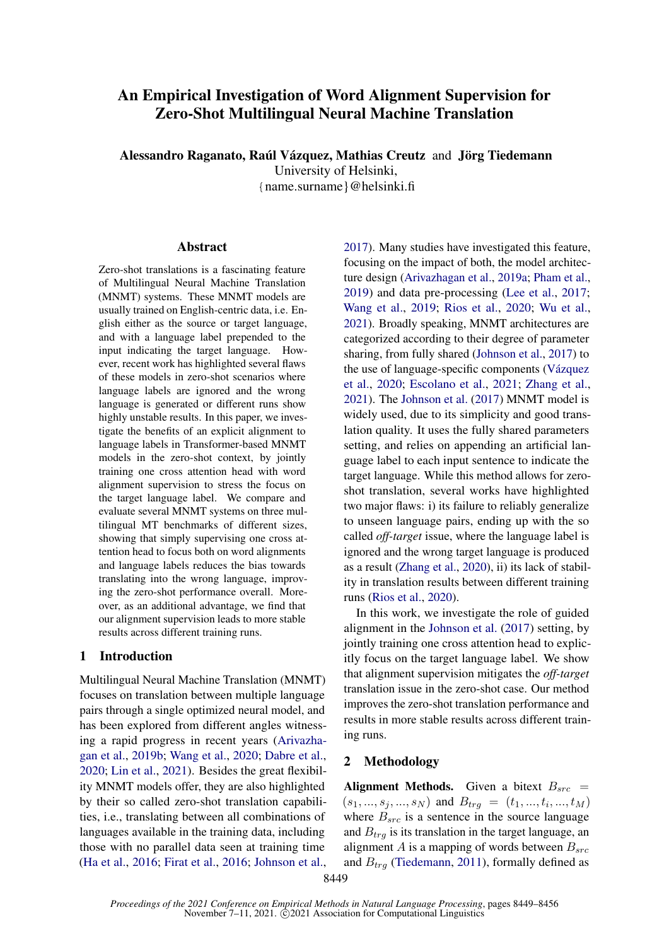# An Empirical Investigation of Word Alignment Supervision for Zero-Shot Multilingual Neural Machine Translation

Alessandro Raganato, Raúl Vázquez, Mathias Creutz and Jörg Tiedemann

University of Helsinki,

{name.surname}@helsinki.fi

#### Abstract

Zero-shot translations is a fascinating feature of Multilingual Neural Machine Translation (MNMT) systems. These MNMT models are usually trained on English-centric data, i.e. English either as the source or target language, and with a language label prepended to the input indicating the target language. However, recent work has highlighted several flaws of these models in zero-shot scenarios where language labels are ignored and the wrong language is generated or different runs show highly unstable results. In this paper, we investigate the benefits of an explicit alignment to language labels in Transformer-based MNMT models in the zero-shot context, by jointly training one cross attention head with word alignment supervision to stress the focus on the target language label. We compare and evaluate several MNMT systems on three multilingual MT benchmarks of different sizes, showing that simply supervising one cross attention head to focus both on word alignments and language labels reduces the bias towards translating into the wrong language, improving the zero-shot performance overall. Moreover, as an additional advantage, we find that our alignment supervision leads to more stable results across different training runs.

# 1 Introduction

Multilingual Neural Machine Translation (MNMT) focuses on translation between multiple language pairs through a single optimized neural model, and has been explored from different angles witnessing a rapid progress in recent years [\(Arivazha](#page-4-0)[gan et al.,](#page-4-0) [2019b;](#page-4-0) [Wang et al.,](#page-6-0) [2020;](#page-6-0) [Dabre et al.,](#page-4-1) [2020;](#page-4-1) [Lin et al.,](#page-5-0) [2021\)](#page-5-0). Besides the great flexibility MNMT models offer, they are also highlighted by their so called zero-shot translation capabilities, i.e., translating between all combinations of languages available in the training data, including those with no parallel data seen at training time [\(Ha et al.,](#page-5-1) [2016;](#page-5-1) [Firat et al.,](#page-5-2) [2016;](#page-5-2) [Johnson et al.,](#page-5-3) [2017\)](#page-5-3). Many studies have investigated this feature, focusing on the impact of both, the model architecture design [\(Arivazhagan et al.,](#page-4-2) [2019a;](#page-4-2) [Pham et al.,](#page-5-4) [2019\)](#page-5-4) and data pre-processing [\(Lee et al.,](#page-5-5) [2017;](#page-5-5) [Wang et al.,](#page-6-1) [2019;](#page-6-1) [Rios et al.,](#page-6-2) [2020;](#page-6-2) [Wu et al.,](#page-6-3) [2021\)](#page-6-3). Broadly speaking, MNMT architectures are categorized according to their degree of parameter sharing, from fully shared [\(Johnson et al.,](#page-5-3) [2017\)](#page-5-3) to the use of language-specific components [\(Vázquez](#page-6-4) [et al.,](#page-6-4) [2020;](#page-6-4) [Escolano et al.,](#page-4-3) [2021;](#page-4-3) [Zhang et al.,](#page-6-5) [2021\)](#page-6-5). The [Johnson et al.](#page-5-3) [\(2017\)](#page-5-3) MNMT model is widely used, due to its simplicity and good translation quality. It uses the fully shared parameters setting, and relies on appending an artificial language label to each input sentence to indicate the target language. While this method allows for zeroshot translation, several works have highlighted two major flaws: i) its failure to reliably generalize to unseen language pairs, ending up with the so called *off-target* issue, where the language label is ignored and the wrong target language is produced as a result [\(Zhang et al.,](#page-6-6) [2020\)](#page-6-6), ii) its lack of stability in translation results between different training runs [\(Rios et al.,](#page-6-2) [2020\)](#page-6-2).

In this work, we investigate the role of guided alignment in the [Johnson et al.](#page-5-3) [\(2017\)](#page-5-3) setting, by jointly training one cross attention head to explicitly focus on the target language label. We show that alignment supervision mitigates the *off-target* translation issue in the zero-shot case. Our method improves the zero-shot translation performance and results in more stable results across different training runs.

# <span id="page-0-0"></span>2 Methodology

Alignment Methods. Given a bitext  $B_{src}$  =  $(s_1, ..., s_j, ..., s_N)$  and  $B_{trg} = (t_1, ..., t_i, ..., t_M)$ where  $B_{src}$  is a sentence in the source language and  $B_{trq}$  is its translation in the target language, an alignment A is a mapping of words between  $B_{src}$ and  $B_{trq}$  [\(Tiedemann,](#page-6-7) [2011\)](#page-6-7), formally defined as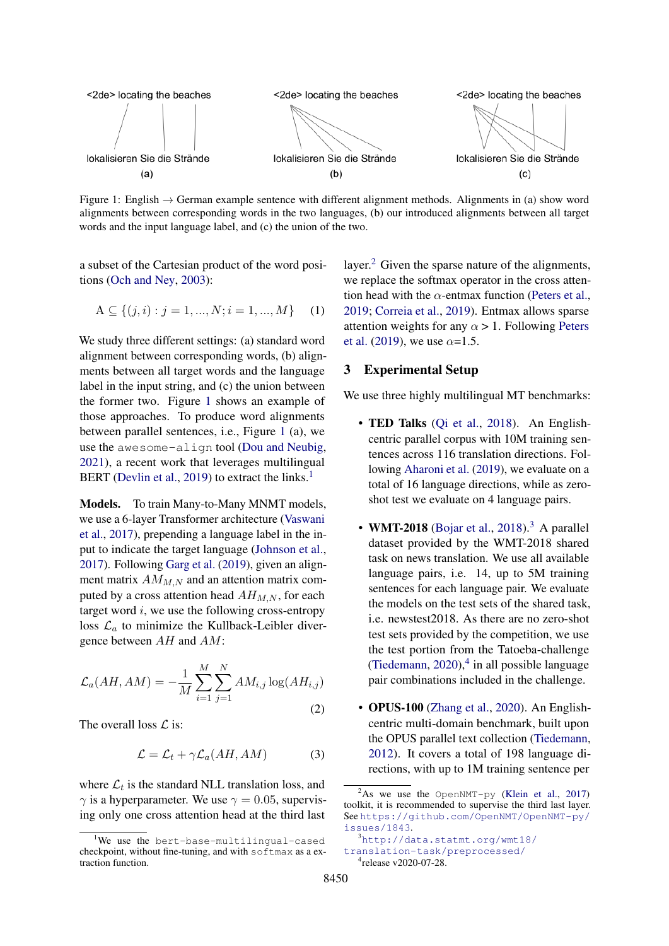<span id="page-1-0"></span>

Figure 1: English  $\rightarrow$  German example sentence with different alignment methods. Alignments in (a) show word alignments between corresponding words in the two languages, (b) our introduced alignments between all target words and the input language label, and (c) the union of the two.

a subset of the Cartesian product of the word positions [\(Och and Ney,](#page-5-6) [2003\)](#page-5-6):

$$
A \subseteq \{(j, i) : j = 1, ..., N; i = 1, ..., M\}
$$
 (1)

We study three different settings: (a) standard word alignment between corresponding words, (b) alignments between all target words and the language label in the input string, and (c) the union between the former two. Figure [1](#page-1-0) shows an example of those approaches. To produce word alignments between parallel sentences, i.e., Figure [1](#page-1-0) (a), we use the awesome-align tool [\(Dou and Neubig,](#page-4-4) [2021\)](#page-4-4), a recent work that leverages multilingual BERT [\(Devlin et al.,](#page-4-5) [2019\)](#page-4-5) to extract the links.<sup>[1](#page-1-1)</sup>

Models. To train Many-to-Many MNMT models, we use a 6-layer Transformer architecture [\(Vaswani](#page-6-8) [et al.,](#page-6-8) [2017\)](#page-6-8), prepending a language label in the input to indicate the target language [\(Johnson et al.,](#page-5-3) [2017\)](#page-5-3). Following [Garg et al.](#page-5-7) [\(2019\)](#page-5-7), given an alignment matrix  $AM_{M,N}$  and an attention matrix computed by a cross attention head  $AH_{M,N}$ , for each target word  $i$ , we use the following cross-entropy loss  $\mathcal{L}_a$  to minimize the Kullback-Leibler divergence between AH and AM:

$$
\mathcal{L}_a(AH, AM) = -\frac{1}{M} \sum_{i=1}^{M} \sum_{j=1}^{N} AM_{i,j} \log(AH_{i,j})
$$
\n(2)

The overall loss  $\mathcal{L}$  is:

$$
\mathcal{L} = \mathcal{L}_t + \gamma \mathcal{L}_a(AH, AM) \tag{3}
$$

where  $\mathcal{L}_t$  is the standard NLL translation loss, and  $\gamma$  is a hyperparameter. We use  $\gamma = 0.05$ , supervising only one cross attention head at the third last

layer. $<sup>2</sup>$  $<sup>2</sup>$  $<sup>2</sup>$  Given the sparse nature of the alignments,</sup> we replace the softmax operator in the cross attention head with the  $\alpha$ -entmax function [\(Peters et al.,](#page-5-8) [2019;](#page-5-8) [Correia et al.,](#page-4-6) [2019\)](#page-4-6). Entmax allows sparse attention weights for any  $\alpha > 1$ . Following [Peters](#page-5-8) [et al.](#page-5-8) [\(2019\)](#page-5-8), we use  $\alpha$ =1.5.

## 3 Experimental Setup

We use three highly multilingual MT benchmarks:

- TED Talks [\(Qi et al.,](#page-5-9) [2018\)](#page-5-9). An Englishcentric parallel corpus with 10M training sentences across 116 translation directions. Following [Aharoni et al.](#page-4-7) [\(2019\)](#page-4-7), we evaluate on a total of 16 language directions, while as zeroshot test we evaluate on 4 language pairs.
- WMT-2018 [\(Bojar et al.,](#page-4-8) [2018\)](#page-4-8).<sup>[3](#page-1-3)</sup> A parallel dataset provided by the WMT-2018 shared task on news translation. We use all available language pairs, i.e. 14, up to 5M training sentences for each language pair. We evaluate the models on the test sets of the shared task, i.e. newstest2018. As there are no zero-shot test sets provided by the competition, we use the test portion from the Tatoeba-challenge [\(Tiedemann,](#page-6-9)  $2020$ ),<sup>[4](#page-1-4)</sup> in all possible language pair combinations included in the challenge.
- OPUS-100 [\(Zhang et al.,](#page-6-6) [2020\)](#page-6-6). An Englishcentric multi-domain benchmark, built upon the OPUS parallel text collection [\(Tiedemann,](#page-6-10) [2012\)](#page-6-10). It covers a total of 198 language directions, with up to 1M training sentence per

<span id="page-1-1"></span><sup>&</sup>lt;sup>1</sup>We use the bert-base-multilingual-cased checkpoint, without fine-tuning, and with softmax as a extraction function.

<span id="page-1-2"></span> $2$ As we use the OpenNMT-py [\(Klein et al.,](#page-5-10) [2017\)](#page-5-10) toolkit, it is recommended to supervise the third last layer. See [https://github.com/OpenNMT/OpenNMT-py/](https://github.com/OpenNMT/OpenNMT-py/issues/1843) [issues/1843](https://github.com/OpenNMT/OpenNMT-py/issues/1843).

<span id="page-1-4"></span><span id="page-1-3"></span><sup>3</sup>[http://data.statmt.org/wmt18/](http://data.statmt.org/wmt18/translation-task/preprocessed/) [translation-task/preprocessed/](http://data.statmt.org/wmt18/translation-task/preprocessed/) 4 release v2020-07-28.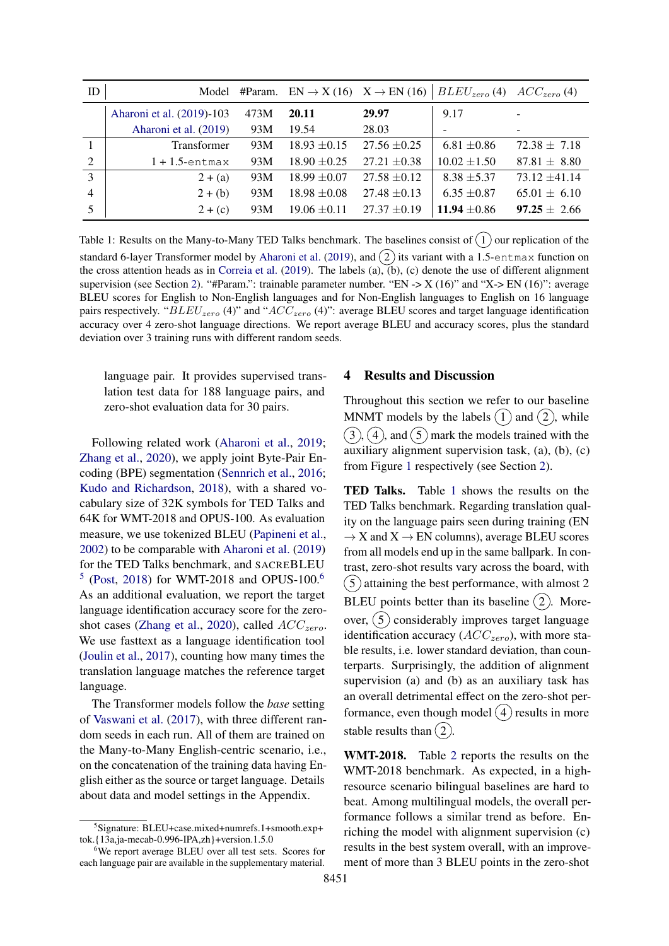<span id="page-2-2"></span>

| ID             | Model                     |      | #Param. $EN \rightarrow X(16)$ $X \rightarrow EN(16)$ |                  | $BLEU_{zero}(4)$ $ACC_{zero}(4)$ |                          |
|----------------|---------------------------|------|-------------------------------------------------------|------------------|----------------------------------|--------------------------|
|                | Aharoni et al. (2019)-103 | 473M | 20.11                                                 | 29.97            | 9.17                             | $\overline{\phantom{a}}$ |
|                | Aharoni et al. (2019)     | 93M  | 19.54                                                 | 28.03            |                                  |                          |
|                | <b>Transformer</b>        | 93M  | $18.93 \pm 0.15$                                      | $27.56 \pm 0.25$ | $6.81 \pm 0.86$                  | $72.38 \pm 7.18$         |
| $\overline{2}$ | $1 + 1.5$ -entmax         | 93M  | $18.90 \pm 0.25$                                      | $27.21 \pm 0.38$ | $10.02 \pm 1.50$                 | $87.81 \pm 8.80$         |
| 3              | $2 + (a)$                 | 93M  | $18.99 \pm 0.07$                                      | $27.58 \pm 0.12$ | $8.38 \pm 5.37$                  | $73.12 \pm 41.14$        |
| $\overline{4}$ | $2+(b)$                   | 93M  | $18.98 \pm 0.08$                                      | $27.48 \pm 0.13$ | $6.35 \pm 0.87$                  | $65.01 \pm 6.10$         |
|                | $2 + (c)$                 | 93M  | $19.06 \pm 0.11$                                      | $27.37 \pm 0.19$ | $11.94 \pm 0.86$                 | $97.25 \pm 2.66$         |

Table 1: Results on the Many-to-Many TED Talks benchmark. The baselines consist of  $(1)$  our replication of the standard 6-layer Transformer model by [Aharoni et al.](#page-4-7) [\(2019\)](#page-4-7), and  $(2)$  its variant with a 1.5-entmax function on the cross attention heads as in [Correia et al.](#page-4-6) [\(2019\)](#page-4-6). The labels (a), (b), (c) denote the use of different alignment supervision (see Section [2\)](#page-0-0). "#Param.": trainable parameter number. "EN -> X (16)" and "X-> EN (16)": average BLEU scores for English to Non-English languages and for Non-English languages to English on 16 language pairs respectively. " $BLEU_{zero}$  (4)" and " $ACC_{zero}$  (4)": average BLEU scores and target language identification accuracy over 4 zero-shot language directions. We report average BLEU and accuracy scores, plus the standard deviation over 3 training runs with different random seeds.

language pair. It provides supervised translation test data for 188 language pairs, and zero-shot evaluation data for 30 pairs.

Following related work [\(Aharoni et al.,](#page-4-7) [2019;](#page-4-7) [Zhang et al.,](#page-6-6) [2020\)](#page-6-6), we apply joint Byte-Pair Encoding (BPE) segmentation [\(Sennrich et al.,](#page-6-11) [2016;](#page-6-11) [Kudo and Richardson,](#page-5-11) [2018\)](#page-5-11), with a shared vocabulary size of 32K symbols for TED Talks and 64K for WMT-2018 and OPUS-100. As evaluation measure, we use tokenized BLEU [\(Papineni et al.,](#page-5-12) [2002\)](#page-5-12) to be comparable with [Aharoni et al.](#page-4-7) [\(2019\)](#page-4-7) for the TED Talks benchmark, and SACREBLEU  $5$  [\(Post,](#page-5-13) [2018\)](#page-5-13) for WMT-2018 and OPUS-100.<sup>[6](#page-2-1)</sup> As an additional evaluation, we report the target language identification accuracy score for the zero-shot cases [\(Zhang et al.,](#page-6-6) [2020\)](#page-6-6), called  $ACC_{zero}$ . We use fasttext as a language identification tool [\(Joulin et al.,](#page-5-14) [2017\)](#page-5-14), counting how many times the translation language matches the reference target language.

The Transformer models follow the *base* setting of [Vaswani et al.](#page-6-8) [\(2017\)](#page-6-8), with three different random seeds in each run. All of them are trained on the Many-to-Many English-centric scenario, i.e., on the concatenation of the training data having English either as the source or target language. Details about data and model settings in the Appendix.

### 4 Results and Discussion

Throughout this section we refer to our baseline MNMT models by the labels  $(1)$  and  $(2)$ , while  $(3)$ ,  $(4)$ , and  $(5)$  mark the models trained with the auxiliary alignment supervision task, (a), (b), (c) from Figure [1](#page-1-0) respectively (see Section [2\)](#page-0-0).

TED Talks. Table [1](#page-2-2) shows the results on the TED Talks benchmark. Regarding translation quality on the language pairs seen during training (EN  $\rightarrow$  X and X  $\rightarrow$  EN columns), average BLEU scores from all models end up in the same ballpark. In contrast, zero-shot results vary across the board, with  $(5)$  attaining the best performance, with almost 2 BLEU points better than its baseline  $(2)$ . Moreover,  $(5)$  considerably improves target language identification accuracy ( $ACC_{zero}$ ), with more stable results, i.e. lower standard deviation, than counterparts. Surprisingly, the addition of alignment supervision (a) and (b) as an auxiliary task has an overall detrimental effect on the zero-shot performance, even though model  $(4)$  results in more stable results than  $(2)$ .

WMT-[2](#page-3-0)018. Table 2 reports the results on the WMT-2018 benchmark. As expected, in a highresource scenario bilingual baselines are hard to beat. Among multilingual models, the overall performance follows a similar trend as before. Enriching the model with alignment supervision (c) results in the best system overall, with an improvement of more than 3 BLEU points in the zero-shot

<span id="page-2-0"></span><sup>5</sup> Signature: BLEU+case.mixed+numrefs.1+smooth.exp+ tok.{13a,ja-mecab-0.996-IPA,zh}+version.1.5.0

<span id="page-2-1"></span><sup>&</sup>lt;sup>6</sup>We report average BLEU over all test sets. Scores for each language pair are available in the supplementary material.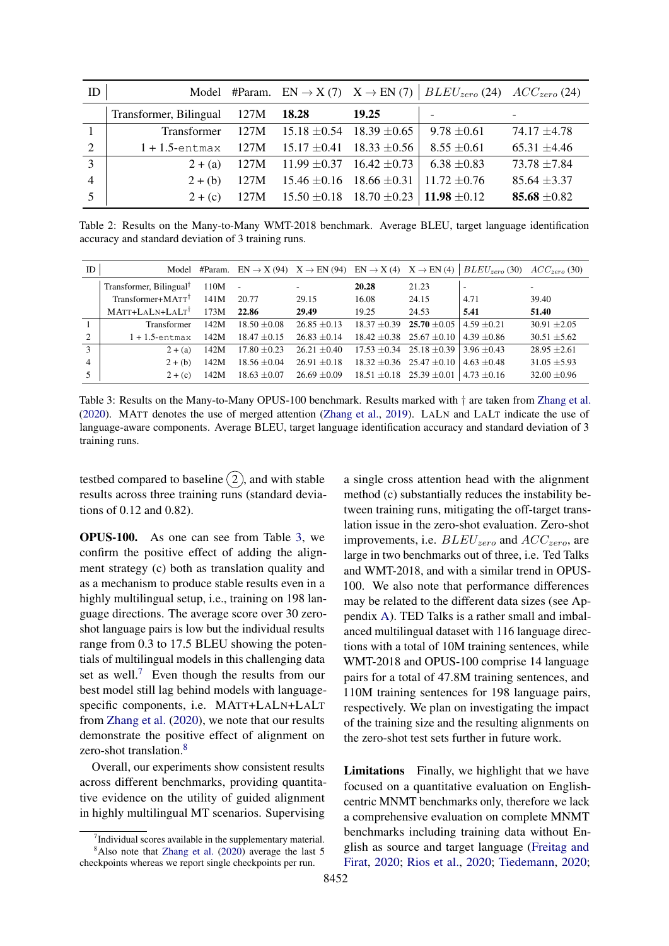<span id="page-3-0"></span>

| ID             |                        |      |                                        |                  | Model #Param. EN $\rightarrow$ X (7) X $\rightarrow$ EN (7) BLEU <sub>zero</sub> (24) ACC <sub>zero</sub> (24) |                  |
|----------------|------------------------|------|----------------------------------------|------------------|----------------------------------------------------------------------------------------------------------------|------------------|
|                | Transformer, Bilingual | 127M | 18.28                                  | 19.25            |                                                                                                                |                  |
|                | Transformer            | 127M | $15.18 \pm 0.54$                       | $18.39 \pm 0.65$ | $9.78 \pm 0.61$                                                                                                | $74.17 \pm 4.78$ |
| 2              | $1 + 1.5$ -entmax      | 127M | $15.17 \pm 0.41$ $18.33 \pm 0.56$      |                  | $8.55 \pm 0.61$                                                                                                | $65.31 \pm 4.46$ |
| 3              | $2 + (a)$              |      | 127M 11.99 $\pm$ 0.37 16.42 $\pm$ 0.73 |                  | $6.38 \pm 0.83$                                                                                                | $73.78 \pm 7.84$ |
| $\overline{4}$ | $2+(b)$                | 127M | $15.46 \pm 0.16$ 18.66 $\pm 0.31$      |                  | $11.72 \pm 0.76$                                                                                               | $85.64 \pm 3.37$ |
|                | $2 + (c)$              | 127M | $15.50 \pm 0.18$ 18.70 $\pm 0.23$      |                  | 11.98 $\pm 0.12$                                                                                               | 85.68 $\pm 0.82$ |

Table 2: Results on the Many-to-Many WMT-2018 benchmark. Average BLEU, target language identification accuracy and standard deviation of 3 training runs.

<span id="page-3-1"></span>

| ID             | Model                               |      | #Param. EN $\rightarrow$ X (94) X $\rightarrow$ EN (94) EN $\rightarrow$ X (4) X $\rightarrow$ EN (4) |                  |       |                                   | $BLEU_{zero}$ (30)       | $ACCzero$ (30)   |
|----------------|-------------------------------------|------|-------------------------------------------------------------------------------------------------------|------------------|-------|-----------------------------------|--------------------------|------------------|
|                | Transformer, Bilingual <sup>†</sup> | 110M |                                                                                                       |                  | 20.28 | 21.23                             | $\overline{\phantom{a}}$ |                  |
|                | Transformer+MATT <sup>†</sup>       | 141M | 20.77                                                                                                 | 29.15            | 16.08 | 24.15                             | 4.71                     | 39.40            |
|                | MATT+LALN+LALT <sup>†</sup>         | 173M | 22.86                                                                                                 | 29.49            | 19.25 | 24.53                             | 5.41                     | 51.40            |
|                | Transformer                         | 142M | $18.50 + 0.08$                                                                                        | $26.85 + 0.13$   |       | $18.37 \pm 0.39$ 25.70 $\pm 0.05$ | $4.59 \pm 0.21$          | $30.91 \pm 2.05$ |
| $\overline{2}$ | $1 + 1.5$ -entmax                   | 142M | $18.47 \pm 0.15$                                                                                      | $26.83 + 0.14$   |       | $18.42 \pm 0.38$ 25.67 $\pm 0.10$ | $4.39 + 0.86$            | $30.51 \pm 5.62$ |
| 3              | $2 + (a)$                           | 142M | $17.80 \pm 0.23$                                                                                      | $26.21 \pm 0.40$ |       | $17.53 + 0.34$ 25.18 + 0.39       | $3.96 + 0.43$            | $28.95 + 2.61$   |
| 4              | $2 + (b)$                           | 142M | $18.56 \pm 0.04$                                                                                      | $26.91 \pm 0.18$ |       | $18.32 \pm 0.36$ 25.47 $\pm 0.10$ | $4.63 + 0.48$            | $31.05 \pm 5.93$ |
|                | $2 + (c)$                           | 142M | $18.63 \pm 0.07$                                                                                      | $26.69 \pm 0.09$ |       | $18.51 \pm 0.18$ 25.39 $\pm 0.01$ | $4.73 + 0.16$            | $32.00 \pm 0.96$ |

Table 3: Results on the Many-to-Many OPUS-100 benchmark. Results marked with † are taken from [Zhang et al.](#page-6-6) [\(2020\)](#page-6-6). MATT denotes the use of merged attention [\(Zhang et al.,](#page-6-12) [2019\)](#page-6-12). LALN and LALT indicate the use of language-aware components. Average BLEU, target language identification accuracy and standard deviation of 3 training runs.

testbed compared to baseline  $(2)$ , and with stable results across three training runs (standard deviations of 0.12 and 0.82).

OPUS-100. As one can see from Table [3,](#page-3-1) we confirm the positive effect of adding the alignment strategy (c) both as translation quality and as a mechanism to produce stable results even in a highly multilingual setup, i.e., training on 198 language directions. The average score over 30 zeroshot language pairs is low but the individual results range from 0.3 to 17.5 BLEU showing the potentials of multilingual models in this challenging data set as well.<sup>[7](#page-3-2)</sup> Even though the results from our best model still lag behind models with languagespecific components, i.e. MATT+LALN+LALT from [Zhang et al.](#page-6-6) [\(2020\)](#page-6-6), we note that our results demonstrate the positive effect of alignment on zero-shot translation.<sup>[8](#page-3-3)</sup>

Overall, our experiments show consistent results across different benchmarks, providing quantitative evidence on the utility of guided alignment in highly multilingual MT scenarios. Supervising

a single cross attention head with the alignment method (c) substantially reduces the instability between training runs, mitigating the off-target translation issue in the zero-shot evaluation. Zero-shot improvements, i.e.  $BLEU_{zero}$  and  $ACC_{zero}$ , are large in two benchmarks out of three, i.e. Ted Talks and WMT-2018, and with a similar trend in OPUS-100. We also note that performance differences may be related to the different data sizes (see Appendix [A\)](#page-7-0). TED Talks is a rather small and imbalanced multilingual dataset with 116 language directions with a total of 10M training sentences, while WMT-2018 and OPUS-100 comprise 14 language pairs for a total of 47.8M training sentences, and 110M training sentences for 198 language pairs, respectively. We plan on investigating the impact of the training size and the resulting alignments on the zero-shot test sets further in future work.

Limitations Finally, we highlight that we have focused on a quantitative evaluation on Englishcentric MNMT benchmarks only, therefore we lack a comprehensive evaluation on complete MNMT benchmarks including training data without English as source and target language [\(Freitag and](#page-5-15) [Firat,](#page-5-15) [2020;](#page-5-15) [Rios et al.,](#page-6-2) [2020;](#page-6-2) [Tiedemann,](#page-6-9) [2020;](#page-6-9)

<span id="page-3-3"></span><span id="page-3-2"></span><sup>&</sup>lt;sup>7</sup>Individual scores available in the supplementary material.  $8$ Also note that [Zhang et al.](#page-6-6) [\(2020\)](#page-6-6) average the last 5 checkpoints whereas we report single checkpoints per run.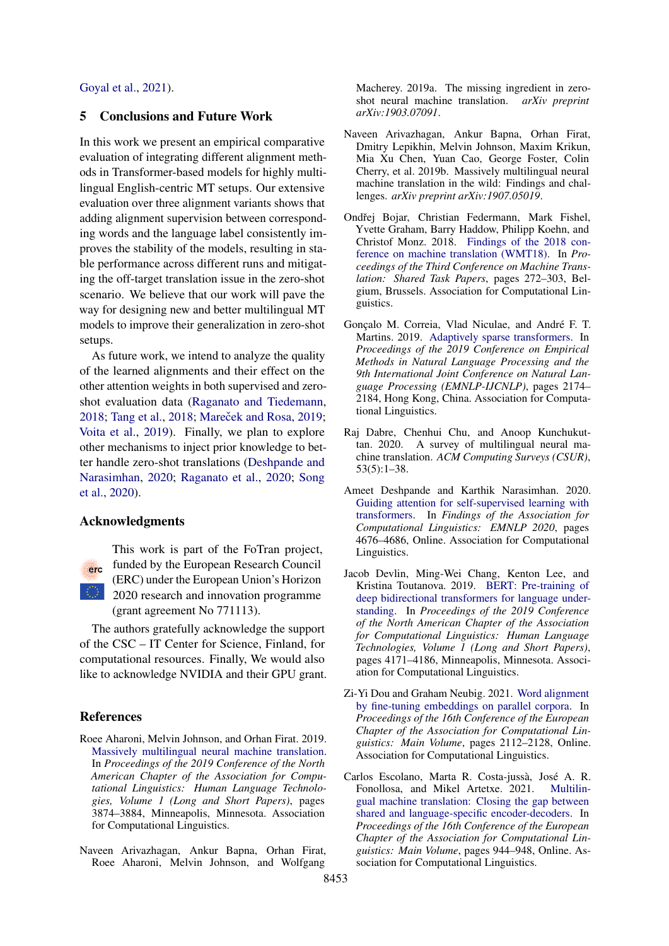### [Goyal et al.,](#page-5-16) [2021\)](#page-5-16).

## 5 Conclusions and Future Work

In this work we present an empirical comparative evaluation of integrating different alignment methods in Transformer-based models for highly multilingual English-centric MT setups. Our extensive evaluation over three alignment variants shows that adding alignment supervision between corresponding words and the language label consistently improves the stability of the models, resulting in stable performance across different runs and mitigating the off-target translation issue in the zero-shot scenario. We believe that our work will pave the way for designing new and better multilingual MT models to improve their generalization in zero-shot setups.

As future work, we intend to analyze the quality of the learned alignments and their effect on the other attention weights in both supervised and zeroshot evaluation data [\(Raganato and Tiedemann,](#page-6-13) [2018;](#page-6-14) [Tang et al.,](#page-6-14) 2018; Mareček and Rosa, [2019;](#page-5-17) [Voita et al.,](#page-6-15) [2019\)](#page-6-15). Finally, we plan to explore other mechanisms to inject prior knowledge to better handle zero-shot translations [\(Deshpande and](#page-4-9) [Narasimhan,](#page-4-9) [2020;](#page-4-9) [Raganato et al.,](#page-6-16) [2020;](#page-6-16) [Song](#page-6-17) [et al.,](#page-6-17) [2020\)](#page-6-17).

# Acknowledgments



This work is part of the FoTran project, funded by the European Research Council (ERC) under the European Union's Horizon 2020 research and innovation programme (grant agreement No 771113).

The authors gratefully acknowledge the support of the CSC – IT Center for Science, Finland, for computational resources. Finally, We would also like to acknowledge NVIDIA and their GPU grant.

## References

- <span id="page-4-7"></span>Roee Aharoni, Melvin Johnson, and Orhan Firat. 2019. [Massively multilingual neural machine translation.](https://doi.org/10.18653/v1/N19-1388) In *Proceedings of the 2019 Conference of the North American Chapter of the Association for Computational Linguistics: Human Language Technologies, Volume 1 (Long and Short Papers)*, pages 3874–3884, Minneapolis, Minnesota. Association for Computational Linguistics.
- <span id="page-4-2"></span>Naveen Arivazhagan, Ankur Bapna, Orhan Firat, Roee Aharoni, Melvin Johnson, and Wolfgang

Macherey. 2019a. The missing ingredient in zeroshot neural machine translation. *arXiv preprint arXiv:1903.07091*.

- <span id="page-4-0"></span>Naveen Arivazhagan, Ankur Bapna, Orhan Firat, Dmitry Lepikhin, Melvin Johnson, Maxim Krikun, Mia Xu Chen, Yuan Cao, George Foster, Colin Cherry, et al. 2019b. Massively multilingual neural machine translation in the wild: Findings and challenges. *arXiv preprint arXiv:1907.05019*.
- <span id="page-4-8"></span>Ondřej Bojar, Christian Federmann, Mark Fishel, Yvette Graham, Barry Haddow, Philipp Koehn, and Christof Monz. 2018. [Findings of the 2018 con](https://doi.org/10.18653/v1/W18-6401)[ference on machine translation \(WMT18\).](https://doi.org/10.18653/v1/W18-6401) In *Proceedings of the Third Conference on Machine Translation: Shared Task Papers*, pages 272–303, Belgium, Brussels. Association for Computational Linguistics.
- <span id="page-4-6"></span>Gonçalo M. Correia, Vlad Niculae, and André F. T. Martins. 2019. [Adaptively sparse transformers.](https://doi.org/10.18653/v1/D19-1223) In *Proceedings of the 2019 Conference on Empirical Methods in Natural Language Processing and the 9th International Joint Conference on Natural Language Processing (EMNLP-IJCNLP)*, pages 2174– 2184, Hong Kong, China. Association for Computational Linguistics.
- <span id="page-4-1"></span>Raj Dabre, Chenhui Chu, and Anoop Kunchukuttan. 2020. A survey of multilingual neural machine translation. *ACM Computing Surveys (CSUR)*, 53(5):1–38.
- <span id="page-4-9"></span>Ameet Deshpande and Karthik Narasimhan. 2020. [Guiding attention for self-supervised learning with](https://doi.org/10.18653/v1/2020.findings-emnlp.419) [transformers.](https://doi.org/10.18653/v1/2020.findings-emnlp.419) In *Findings of the Association for Computational Linguistics: EMNLP 2020*, pages 4676–4686, Online. Association for Computational Linguistics.
- <span id="page-4-5"></span>Jacob Devlin, Ming-Wei Chang, Kenton Lee, and Kristina Toutanova. 2019. [BERT: Pre-training of](https://doi.org/10.18653/v1/N19-1423) [deep bidirectional transformers for language under](https://doi.org/10.18653/v1/N19-1423)[standing.](https://doi.org/10.18653/v1/N19-1423) In *Proceedings of the 2019 Conference of the North American Chapter of the Association for Computational Linguistics: Human Language Technologies, Volume 1 (Long and Short Papers)*, pages 4171–4186, Minneapolis, Minnesota. Association for Computational Linguistics.
- <span id="page-4-4"></span>Zi-Yi Dou and Graham Neubig. 2021. [Word alignment](https://www.aclweb.org/anthology/2021.eacl-main.181) [by fine-tuning embeddings on parallel corpora.](https://www.aclweb.org/anthology/2021.eacl-main.181) In *Proceedings of the 16th Conference of the European Chapter of the Association for Computational Linguistics: Main Volume*, pages 2112–2128, Online. Association for Computational Linguistics.
- <span id="page-4-3"></span>Carlos Escolano, Marta R. Costa-jussà, José A. R. Fonollosa, and Mikel Artetxe. 2021. [Multilin](https://www.aclweb.org/anthology/2021.eacl-main.80)[gual machine translation: Closing the gap between](https://www.aclweb.org/anthology/2021.eacl-main.80) [shared and language-specific encoder-decoders.](https://www.aclweb.org/anthology/2021.eacl-main.80) In *Proceedings of the 16th Conference of the European Chapter of the Association for Computational Linguistics: Main Volume*, pages 944–948, Online. Association for Computational Linguistics.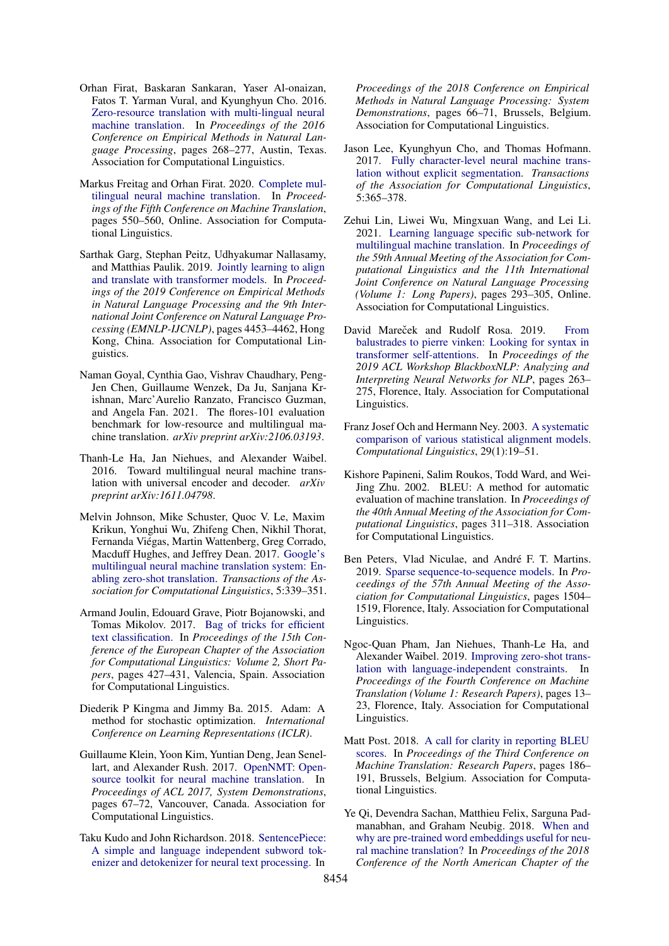- <span id="page-5-2"></span>Orhan Firat, Baskaran Sankaran, Yaser Al-onaizan, Fatos T. Yarman Vural, and Kyunghyun Cho. 2016. [Zero-resource translation with multi-lingual neural](https://doi.org/10.18653/v1/D16-1026) [machine translation.](https://doi.org/10.18653/v1/D16-1026) In *Proceedings of the 2016 Conference on Empirical Methods in Natural Language Processing*, pages 268–277, Austin, Texas. Association for Computational Linguistics.
- <span id="page-5-15"></span>Markus Freitag and Orhan Firat. 2020. [Complete mul](https://www.aclweb.org/anthology/2020.wmt-1.66)[tilingual neural machine translation.](https://www.aclweb.org/anthology/2020.wmt-1.66) In *Proceedings of the Fifth Conference on Machine Translation*, pages 550–560, Online. Association for Computational Linguistics.
- <span id="page-5-7"></span>Sarthak Garg, Stephan Peitz, Udhyakumar Nallasamy, and Matthias Paulik. 2019. [Jointly learning to align](https://doi.org/10.18653/v1/D19-1453) [and translate with transformer models.](https://doi.org/10.18653/v1/D19-1453) In *Proceedings of the 2019 Conference on Empirical Methods in Natural Language Processing and the 9th International Joint Conference on Natural Language Processing (EMNLP-IJCNLP)*, pages 4453–4462, Hong Kong, China. Association for Computational Linguistics.
- <span id="page-5-16"></span>Naman Goyal, Cynthia Gao, Vishrav Chaudhary, Peng-Jen Chen, Guillaume Wenzek, Da Ju, Sanjana Krishnan, Marc'Aurelio Ranzato, Francisco Guzman, and Angela Fan. 2021. The flores-101 evaluation benchmark for low-resource and multilingual machine translation. *arXiv preprint arXiv:2106.03193*.
- <span id="page-5-1"></span>Thanh-Le Ha, Jan Niehues, and Alexander Waibel. 2016. Toward multilingual neural machine translation with universal encoder and decoder. *arXiv preprint arXiv:1611.04798*.
- <span id="page-5-3"></span>Melvin Johnson, Mike Schuster, Quoc V. Le, Maxim Krikun, Yonghui Wu, Zhifeng Chen, Nikhil Thorat, Fernanda Viégas, Martin Wattenberg, Greg Corrado, Macduff Hughes, and Jeffrey Dean. 2017. [Google's](https://doi.org/10.1162/tacl_a_00065) [multilingual neural machine translation system: En](https://doi.org/10.1162/tacl_a_00065)[abling zero-shot translation.](https://doi.org/10.1162/tacl_a_00065) *Transactions of the Association for Computational Linguistics*, 5:339–351.
- <span id="page-5-14"></span>Armand Joulin, Edouard Grave, Piotr Bojanowski, and Tomas Mikolov. 2017. [Bag of tricks for efficient](https://www.aclweb.org/anthology/E17-2068) [text classification.](https://www.aclweb.org/anthology/E17-2068) In *Proceedings of the 15th Conference of the European Chapter of the Association for Computational Linguistics: Volume 2, Short Papers*, pages 427–431, Valencia, Spain. Association for Computational Linguistics.
- <span id="page-5-18"></span>Diederik P Kingma and Jimmy Ba. 2015. Adam: A method for stochastic optimization. *International Conference on Learning Representations (ICLR)*.
- <span id="page-5-10"></span>Guillaume Klein, Yoon Kim, Yuntian Deng, Jean Senel-lart, and Alexander Rush. 2017. [OpenNMT: Open](https://www.aclweb.org/anthology/P17-4012)[source toolkit for neural machine translation.](https://www.aclweb.org/anthology/P17-4012) In *Proceedings of ACL 2017, System Demonstrations*, pages 67–72, Vancouver, Canada. Association for Computational Linguistics.
- <span id="page-5-11"></span>Taku Kudo and John Richardson. 2018. [SentencePiece:](https://doi.org/10.18653/v1/D18-2012) [A simple and language independent subword tok](https://doi.org/10.18653/v1/D18-2012)[enizer and detokenizer for neural text processing.](https://doi.org/10.18653/v1/D18-2012) In

*Proceedings of the 2018 Conference on Empirical Methods in Natural Language Processing: System Demonstrations*, pages 66–71, Brussels, Belgium. Association for Computational Linguistics.

- <span id="page-5-5"></span>Jason Lee, Kyunghyun Cho, and Thomas Hofmann. 2017. [Fully character-level neural machine trans](https://doi.org/10.1162/tacl_a_00067)[lation without explicit segmentation.](https://doi.org/10.1162/tacl_a_00067) *Transactions of the Association for Computational Linguistics*, 5:365–378.
- <span id="page-5-0"></span>Zehui Lin, Liwei Wu, Mingxuan Wang, and Lei Li. 2021. [Learning language specific sub-network for](https://doi.org/10.18653/v1/2021.acl-long.25) [multilingual machine translation.](https://doi.org/10.18653/v1/2021.acl-long.25) In *Proceedings of the 59th Annual Meeting of the Association for Computational Linguistics and the 11th International Joint Conference on Natural Language Processing (Volume 1: Long Papers)*, pages 293–305, Online. Association for Computational Linguistics.
- <span id="page-5-17"></span>David Mareček and Rudolf Rosa. 2019. [From](https://doi.org/10.18653/v1/W19-4827) [balustrades to pierre vinken: Looking for syntax in](https://doi.org/10.18653/v1/W19-4827) [transformer self-attentions.](https://doi.org/10.18653/v1/W19-4827) In *Proceedings of the 2019 ACL Workshop BlackboxNLP: Analyzing and Interpreting Neural Networks for NLP*, pages 263– 275, Florence, Italy. Association for Computational Linguistics.
- <span id="page-5-6"></span>Franz Josef Och and Hermann Ney. 2003. [A systematic](https://doi.org/10.1162/089120103321337421) [comparison of various statistical alignment models.](https://doi.org/10.1162/089120103321337421) *Computational Linguistics*, 29(1):19–51.
- <span id="page-5-12"></span>Kishore Papineni, Salim Roukos, Todd Ward, and Wei-Jing Zhu. 2002. BLEU: A method for automatic evaluation of machine translation. In *Proceedings of the 40th Annual Meeting of the Association for Computational Linguistics*, pages 311–318. Association for Computational Linguistics.
- <span id="page-5-8"></span>Ben Peters, Vlad Niculae, and André F. T. Martins. 2019. [Sparse sequence-to-sequence models.](https://doi.org/10.18653/v1/P19-1146) In *Proceedings of the 57th Annual Meeting of the Association for Computational Linguistics*, pages 1504– 1519, Florence, Italy. Association for Computational Linguistics.
- <span id="page-5-4"></span>Ngoc-Quan Pham, Jan Niehues, Thanh-Le Ha, and Alexander Waibel. 2019. [Improving zero-shot trans](https://doi.org/10.18653/v1/W19-5202)[lation with language-independent constraints.](https://doi.org/10.18653/v1/W19-5202) In *Proceedings of the Fourth Conference on Machine Translation (Volume 1: Research Papers)*, pages 13– 23, Florence, Italy. Association for Computational Linguistics.
- <span id="page-5-13"></span>Matt Post. 2018. [A call for clarity in reporting BLEU](https://doi.org/10.18653/v1/W18-6319) [scores.](https://doi.org/10.18653/v1/W18-6319) In *Proceedings of the Third Conference on Machine Translation: Research Papers*, pages 186– 191, Brussels, Belgium. Association for Computational Linguistics.
- <span id="page-5-9"></span>Ye Qi, Devendra Sachan, Matthieu Felix, Sarguna Padmanabhan, and Graham Neubig. 2018. [When and](https://doi.org/10.18653/v1/N18-2084) [why are pre-trained word embeddings useful for neu](https://doi.org/10.18653/v1/N18-2084)[ral machine translation?](https://doi.org/10.18653/v1/N18-2084) In *Proceedings of the 2018 Conference of the North American Chapter of the*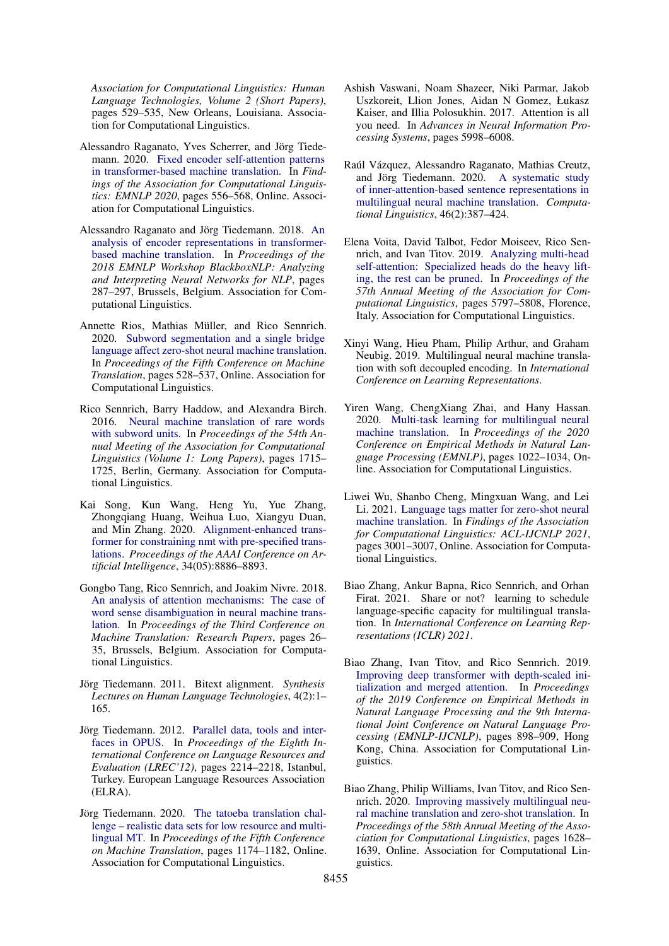*Association for Computational Linguistics: Human Language Technologies, Volume 2 (Short Papers)*, pages 529–535, New Orleans, Louisiana. Association for Computational Linguistics.

- <span id="page-6-16"></span>Alessandro Raganato, Yves Scherrer, and Jörg Tiedemann. 2020. [Fixed encoder self-attention patterns](https://doi.org/10.18653/v1/2020.findings-emnlp.49) [in transformer-based machine translation.](https://doi.org/10.18653/v1/2020.findings-emnlp.49) In *Findings of the Association for Computational Linguistics: EMNLP 2020*, pages 556–568, Online. Association for Computational Linguistics.
- <span id="page-6-13"></span>Alessandro Raganato and Jörg Tiedemann. 2018. [An](https://doi.org/10.18653/v1/W18-5431) [analysis of encoder representations in transformer](https://doi.org/10.18653/v1/W18-5431)[based machine translation.](https://doi.org/10.18653/v1/W18-5431) In *Proceedings of the 2018 EMNLP Workshop BlackboxNLP: Analyzing and Interpreting Neural Networks for NLP*, pages 287–297, Brussels, Belgium. Association for Computational Linguistics.
- <span id="page-6-2"></span>Annette Rios, Mathias Müller, and Rico Sennrich. 2020. [Subword segmentation and a single bridge](https://www.aclweb.org/anthology/2020.wmt-1.64) [language affect zero-shot neural machine translation.](https://www.aclweb.org/anthology/2020.wmt-1.64) In *Proceedings of the Fifth Conference on Machine Translation*, pages 528–537, Online. Association for Computational Linguistics.
- <span id="page-6-11"></span>Rico Sennrich, Barry Haddow, and Alexandra Birch. 2016. [Neural machine translation of rare words](https://doi.org/10.18653/v1/P16-1162) [with subword units.](https://doi.org/10.18653/v1/P16-1162) In *Proceedings of the 54th Annual Meeting of the Association for Computational Linguistics (Volume 1: Long Papers)*, pages 1715– 1725, Berlin, Germany. Association for Computational Linguistics.
- <span id="page-6-17"></span>Kai Song, Kun Wang, Heng Yu, Yue Zhang, Zhongqiang Huang, Weihua Luo, Xiangyu Duan, and Min Zhang. 2020. [Alignment-enhanced trans](https://doi.org/10.1609/aaai.v34i05.6418)[former for constraining nmt with pre-specified trans](https://doi.org/10.1609/aaai.v34i05.6418)[lations.](https://doi.org/10.1609/aaai.v34i05.6418) *Proceedings of the AAAI Conference on Artificial Intelligence*, 34(05):8886–8893.
- <span id="page-6-14"></span>Gongbo Tang, Rico Sennrich, and Joakim Nivre. 2018. [An analysis of attention mechanisms: The case of](https://doi.org/10.18653/v1/W18-6304) [word sense disambiguation in neural machine trans](https://doi.org/10.18653/v1/W18-6304)[lation.](https://doi.org/10.18653/v1/W18-6304) In *Proceedings of the Third Conference on Machine Translation: Research Papers*, pages 26– 35, Brussels, Belgium. Association for Computational Linguistics.
- <span id="page-6-7"></span>Jörg Tiedemann. 2011. Bitext alignment. *Synthesis Lectures on Human Language Technologies*, 4(2):1– 165.
- <span id="page-6-10"></span>Jörg Tiedemann. 2012. [Parallel data, tools and inter](http://www.lrec-conf.org/proceedings/lrec2012/pdf/463_Paper.pdf)[faces in OPUS.](http://www.lrec-conf.org/proceedings/lrec2012/pdf/463_Paper.pdf) In *Proceedings of the Eighth International Conference on Language Resources and Evaluation (LREC'12)*, pages 2214–2218, Istanbul, Turkey. European Language Resources Association (ELRA).
- <span id="page-6-9"></span>Jörg Tiedemann. 2020. [The tatoeba translation chal](https://www.aclweb.org/anthology/2020.wmt-1.139)[lenge – realistic data sets for low resource and multi](https://www.aclweb.org/anthology/2020.wmt-1.139)[lingual MT.](https://www.aclweb.org/anthology/2020.wmt-1.139) In *Proceedings of the Fifth Conference on Machine Translation*, pages 1174–1182, Online. Association for Computational Linguistics.
- <span id="page-6-8"></span>Ashish Vaswani, Noam Shazeer, Niki Parmar, Jakob Uszkoreit, Llion Jones, Aidan N Gomez, Łukasz Kaiser, and Illia Polosukhin. 2017. Attention is all you need. In *Advances in Neural Information Processing Systems*, pages 5998–6008.
- <span id="page-6-4"></span>Raúl Vázquez, Alessandro Raganato, Mathias Creutz, and Jörg Tiedemann. 2020. [A systematic study](https://doi.org/10.1162/coli_a_00377) [of inner-attention-based sentence representations in](https://doi.org/10.1162/coli_a_00377) [multilingual neural machine translation.](https://doi.org/10.1162/coli_a_00377) *Computational Linguistics*, 46(2):387–424.
- <span id="page-6-15"></span>Elena Voita, David Talbot, Fedor Moiseev, Rico Sennrich, and Ivan Titov. 2019. [Analyzing multi-head](https://doi.org/10.18653/v1/P19-1580) [self-attention: Specialized heads do the heavy lift](https://doi.org/10.18653/v1/P19-1580)[ing, the rest can be pruned.](https://doi.org/10.18653/v1/P19-1580) In *Proceedings of the 57th Annual Meeting of the Association for Computational Linguistics*, pages 5797–5808, Florence, Italy. Association for Computational Linguistics.
- <span id="page-6-1"></span>Xinyi Wang, Hieu Pham, Philip Arthur, and Graham Neubig. 2019. Multilingual neural machine translation with soft decoupled encoding. In *International Conference on Learning Representations*.
- <span id="page-6-0"></span>Yiren Wang, ChengXiang Zhai, and Hany Hassan. 2020. [Multi-task learning for multilingual neural](https://doi.org/10.18653/v1/2020.emnlp-main.75) [machine translation.](https://doi.org/10.18653/v1/2020.emnlp-main.75) In *Proceedings of the 2020 Conference on Empirical Methods in Natural Language Processing (EMNLP)*, pages 1022–1034, Online. Association for Computational Linguistics.
- <span id="page-6-3"></span>Liwei Wu, Shanbo Cheng, Mingxuan Wang, and Lei Li. 2021. [Language tags matter for zero-shot neural](https://doi.org/10.18653/v1/2021.findings-acl.264) [machine translation.](https://doi.org/10.18653/v1/2021.findings-acl.264) In *Findings of the Association for Computational Linguistics: ACL-IJCNLP 2021*, pages 3001–3007, Online. Association for Computational Linguistics.
- <span id="page-6-5"></span>Biao Zhang, Ankur Bapna, Rico Sennrich, and Orhan Firat. 2021. Share or not? learning to schedule language-specific capacity for multilingual translation. In *International Conference on Learning Representations (ICLR) 2021*.
- <span id="page-6-12"></span>Biao Zhang, Ivan Titov, and Rico Sennrich. 2019. [Improving deep transformer with depth-scaled ini](https://doi.org/10.18653/v1/D19-1083)[tialization and merged attention.](https://doi.org/10.18653/v1/D19-1083) In *Proceedings of the 2019 Conference on Empirical Methods in Natural Language Processing and the 9th International Joint Conference on Natural Language Processing (EMNLP-IJCNLP)*, pages 898–909, Hong Kong, China. Association for Computational Linguistics.
- <span id="page-6-6"></span>Biao Zhang, Philip Williams, Ivan Titov, and Rico Sennrich. 2020. [Improving massively multilingual neu](https://doi.org/10.18653/v1/2020.acl-main.148)[ral machine translation and zero-shot translation.](https://doi.org/10.18653/v1/2020.acl-main.148) In *Proceedings of the 58th Annual Meeting of the Association for Computational Linguistics*, pages 1628– 1639, Online. Association for Computational Linguistics.